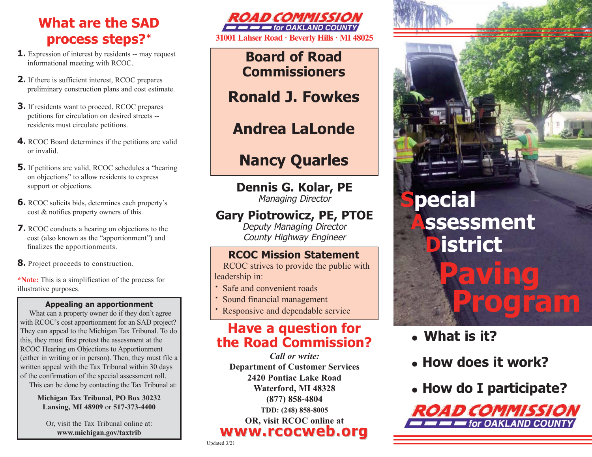## **What are the SAD process steps? \***

- **1.** Expression of interest by residents -- may request informational meeting with RCOC.
- **2.** If there is sufficient interest, RCOC prepares preliminary construction plans and cost estimate.
- **3.** If residents want to proceed, RCOC prepares petitions for circulation on desired streets - residents must circulate petitions.
- **4.** RCOC Board determines if the petitions are valid or invalid.
- **5.** If petitions are valid, RCOC schedules a "hearing" on objections" to allow residents to express support or objections.
- **6.** RCOC solicits bids, determines each property's cost & notifies property owners of this.
- **7.** RCOC conducts a hearing on objections to the cost (also known as the "apportionment") and finalizes the apportionments.
- **8.** Project proceeds to construction.

**\*Note:** This is a simplification of the process for illustrative purposes.

#### **Appealing an apportionment**

What can a property owner do if they don't agree with RCOC's cost apportionment for an SAD project? They can appeal to the Michigan Tax Tribunal. To do this, they must first protest the assessment at the RCOC Hearing on Objections to Apportionment (either in writing or in person). Then, they must file a written appeal with the Tax Tribunal within 30 days of the confirmation of the special assessment roll.

This can be done by contacting the Tax Tribunal at:

**Michigan Tax Tribunal, PO Box 30232 Lansing, MI 48909** or **517-373-4400**

Or, visit the Tax Tribunal online at: **www.michigan.gov/taxtrib**



**Board of Road Commissioners** 

## **Ronald J. Fowkes**

## **Andrea LaLonde**

# **Nancy Quarles**

**Dennis G. Kolar, PE**  Managing Director

#### **Gary Piotrowicz, PE, PTOE**

Deputy Managing Director County Highway Engineer

#### **RCOC Mission Statement**

RCOC strives to provide the public with leadership in:

- **·** Safe and convenient roads
- **·** Sound financial management
- Responsive and dependable service

#### **Have a question for the Road Commission?**

*Call or write:*  **Department of Customer Services 2420 Pontiac Lake Road Waterford, MI 48328 (877) 858-4804 TDD: (248) 858-8005 OR, visit RCOC online at www.rcocweb.org www.rcocweb.org**

# **pecial Assessment District Paving Program**

- <sup>=</sup>**What is it?**
- <sup>=</sup> **How does it work?**
- <sup>=</sup> **How do I participate?**



Updated 3/21